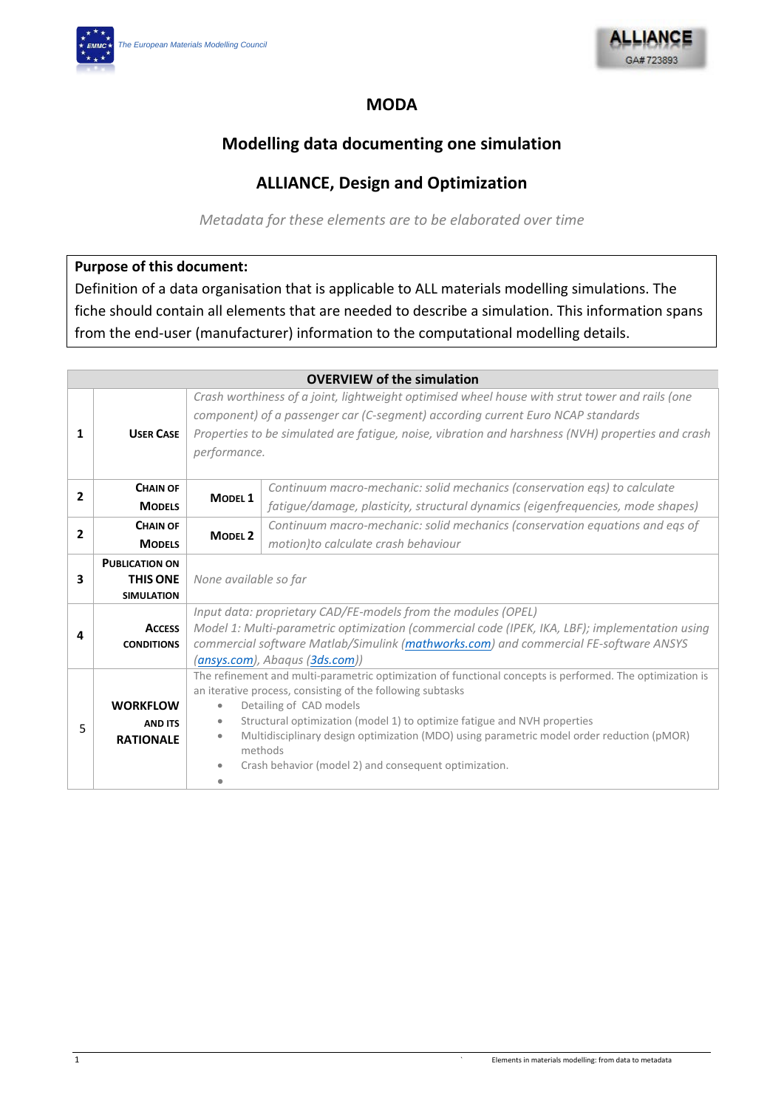

## **MODA**

# **Modelling data documenting one simulation**

# **ALLIANCE, Design and Optimization**

*Metadata for these elements are to be elaborated over time*

### **Purpose of this document:**

Definition of a data organisation that is applicable to ALL materials modelling simulations. The fiche should contain all elements that are needed to describe a simulation. This information spans from the end-user (manufacturer) information to the computational modelling details.

|                |                                                               |                                                                                                                                                                                                                                                                                                        | <b>OVERVIEW of the simulation</b>                                                                                                                                                                                                                                                                                                                                                                                                                                                 |  |  |
|----------------|---------------------------------------------------------------|--------------------------------------------------------------------------------------------------------------------------------------------------------------------------------------------------------------------------------------------------------------------------------------------------------|-----------------------------------------------------------------------------------------------------------------------------------------------------------------------------------------------------------------------------------------------------------------------------------------------------------------------------------------------------------------------------------------------------------------------------------------------------------------------------------|--|--|
| 1              | <b>USER CASE</b>                                              | Crash worthiness of a joint, lightweight optimised wheel house with strut tower and rails (one<br>component) of a passenger car (C-segment) according current Euro NCAP standards<br>Properties to be simulated are fatigue, noise, vibration and harshness (NVH) properties and crash<br>performance. |                                                                                                                                                                                                                                                                                                                                                                                                                                                                                   |  |  |
| $\overline{2}$ | <b>CHAIN OF</b>                                               | MODEL <sub>1</sub>                                                                                                                                                                                                                                                                                     | Continuum macro-mechanic: solid mechanics (conservation eqs) to calculate                                                                                                                                                                                                                                                                                                                                                                                                         |  |  |
|                | <b>MODELS</b>                                                 |                                                                                                                                                                                                                                                                                                        | fatigue/damage, plasticity, structural dynamics (eigenfrequencies, mode shapes)                                                                                                                                                                                                                                                                                                                                                                                                   |  |  |
| $\overline{2}$ | <b>CHAIN OF</b>                                               |                                                                                                                                                                                                                                                                                                        | Continuum macro-mechanic: solid mechanics (conservation equations and eqs of                                                                                                                                                                                                                                                                                                                                                                                                      |  |  |
|                | <b>MODELS</b>                                                 | MODEL <sub>2</sub>                                                                                                                                                                                                                                                                                     | motion) to calculate crash behaviour                                                                                                                                                                                                                                                                                                                                                                                                                                              |  |  |
| 3              | <b>PUBLICATION ON</b><br><b>THIS ONE</b><br><b>SIMULATION</b> | None available so far                                                                                                                                                                                                                                                                                  |                                                                                                                                                                                                                                                                                                                                                                                                                                                                                   |  |  |
| 4              | <b>ACCESS</b><br><b>CONDITIONS</b>                            |                                                                                                                                                                                                                                                                                                        | Input data: proprietary CAD/FE-models from the modules (OPEL)<br>Model 1: Multi-parametric optimization (commercial code (IPEK, IKA, LBF); implementation using<br>commercial software Matlab/Simulink (mathworks.com) and commercial FE-software ANSYS                                                                                                                                                                                                                           |  |  |
| 5              | <b>WORKFLOW</b><br><b>AND ITS</b><br><b>RATIONALE</b>         | $\bullet$<br>$\bullet$<br>$\bullet$<br>$\bullet$                                                                                                                                                                                                                                                       | (ansys.com), Abaqus (3ds.com))<br>The refinement and multi-parametric optimization of functional concepts is performed. The optimization is<br>an iterative process, consisting of the following subtasks<br>Detailing of CAD models<br>Structural optimization (model 1) to optimize fatigue and NVH properties<br>Multidisciplinary design optimization (MDO) using parametric model order reduction (pMOR)<br>methods<br>Crash behavior (model 2) and consequent optimization. |  |  |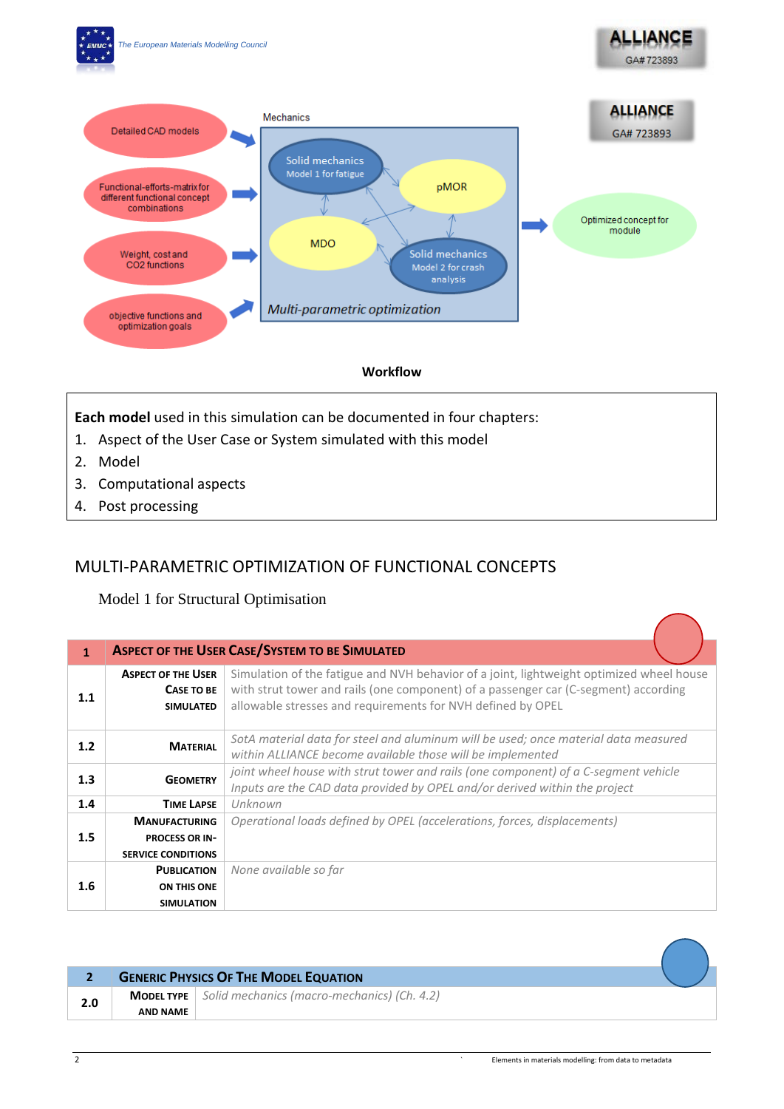

#### **Workflow**

**Each model** used in this simulation can be documented in four chapters:

- 1. Aspect of the User Case or System simulated with this model
- 2. Model
- 3. Computational aspects
- 4. Post processing

## MULTI-PARAMETRIC OPTIMIZATION OF FUNCTIONAL CONCEPTS

Model 1 for Structural Optimisation

| $\mathbf{1}$     |                                                                    | <b>ASPECT OF THE USER CASE/SYSTEM TO BE SIMULATED</b>                                                                                                                                                                                          |
|------------------|--------------------------------------------------------------------|------------------------------------------------------------------------------------------------------------------------------------------------------------------------------------------------------------------------------------------------|
| 1.1              | <b>ASPECT OF THE USER</b><br><b>CASE TO BE</b><br><b>SIMULATED</b> | Simulation of the fatigue and NVH behavior of a joint, lightweight optimized wheel house<br>with strut tower and rails (one component) of a passenger car (C-segment) according<br>allowable stresses and requirements for NVH defined by OPEL |
| 1.2              | <b>MATERIAL</b>                                                    | SotA material data for steel and aluminum will be used; once material data measured<br>within ALLIANCE become available those will be implemented                                                                                              |
| 1.3              | <b>GEOMETRY</b>                                                    | joint wheel house with strut tower and rails (one component) of a C-segment vehicle<br>Inputs are the CAD data provided by OPEL and/or derived within the project                                                                              |
| 1.4              | <b>TIME LAPSE</b>                                                  | Unknown                                                                                                                                                                                                                                        |
|                  | <b>MANUFACTURING</b>                                               | Operational loads defined by OPEL (accelerations, forces, displacements)                                                                                                                                                                       |
| 1.5              | <b>PROCESS OR IN-</b>                                              |                                                                                                                                                                                                                                                |
|                  | <b>SERVICE CONDITIONS</b>                                          |                                                                                                                                                                                                                                                |
|                  | <b>PUBLICATION</b>                                                 | None available so far                                                                                                                                                                                                                          |
| $1.6\phantom{0}$ | ON THIS ONE                                                        |                                                                                                                                                                                                                                                |
|                  | <b>SIMULATION</b>                                                  |                                                                                                                                                                                                                                                |

|  | <b>GENERIC PHYSICS OF THE MODEL EQUATION</b> |                                                                       |  |
|--|----------------------------------------------|-----------------------------------------------------------------------|--|
|  |                                              | <b>MODEL TYPE</b> $\vert$ Solid mechanics (macro-mechanics) (Ch. 4.2) |  |
|  | AND NAME                                     |                                                                       |  |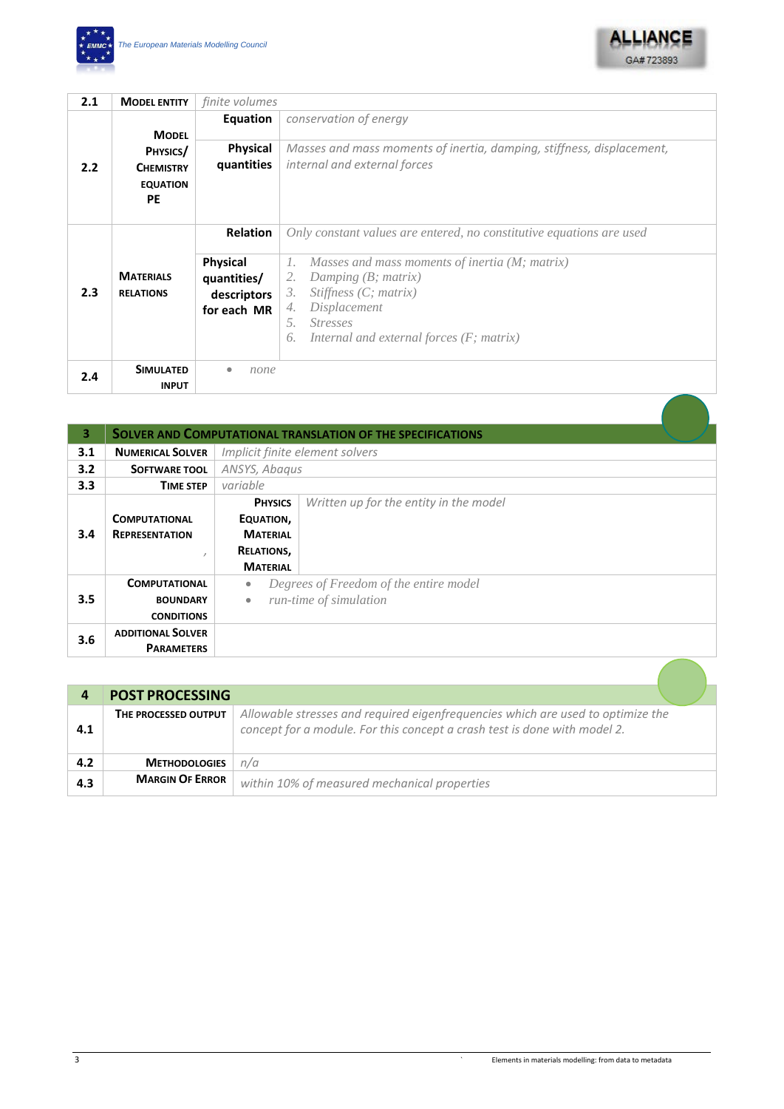



| 2.1 | <b>MODEL ENTITY</b>                                                          | finite volumes                                               |                                                                                                                                                                                                                          |
|-----|------------------------------------------------------------------------------|--------------------------------------------------------------|--------------------------------------------------------------------------------------------------------------------------------------------------------------------------------------------------------------------------|
| 2.2 | <b>MODEL</b><br>PHYSICS/<br><b>CHEMISTRY</b><br><b>EQUATION</b><br><b>PE</b> | Equation                                                     | conservation of energy                                                                                                                                                                                                   |
|     |                                                                              | <b>Physical</b><br>quantities                                | Masses and mass moments of inertia, damping, stiffness, displacement,<br>internal and external forces                                                                                                                    |
| 2.3 | <b>MATERIALS</b><br><b>RELATIONS</b>                                         | <b>Relation</b>                                              | Only constant values are entered, no constitutive equations are used                                                                                                                                                     |
|     |                                                                              | <b>Physical</b><br>quantities/<br>descriptors<br>for each MR | Masses and mass moments of inertia (M; matrix)<br>1.<br>Damping $(B; matrix)$<br>2.<br>Stiffness $(C; matrix)$<br>3.<br>Displacement<br>4.<br><i>Stresses</i><br>.5.<br>Internal and external forces $(F;$ matrix)<br>6. |
| 2.4 | <b>SIMULATED</b><br><b>INPUT</b>                                             | none                                                         |                                                                                                                                                                                                                          |

| 3   |                          |                 | <b>SOLVER AND COMPUTATIONAL TRANSLATION OF THE SPECIFICATIONS</b> |
|-----|--------------------------|-----------------|-------------------------------------------------------------------|
| 3.1 | <b>NUMERICAL SOLVER</b>  |                 | Implicit finite element solvers                                   |
| 3.2 | <b>SOFTWARE TOOL</b>     | ANSYS, Abagus   |                                                                   |
| 3.3 | <b>TIME STEP</b>         | variable        |                                                                   |
|     |                          | <b>PHYSICS</b>  | Written up for the entity in the model                            |
| 3.4 | <b>COMPUTATIONAL</b>     | EQUATION,       |                                                                   |
|     | <b>REPRESENTATION</b>    | <b>MATERIAL</b> |                                                                   |
|     |                          | RELATIONS,      |                                                                   |
|     |                          | <b>MATERIAL</b> |                                                                   |
|     | <b>COMPUTATIONAL</b>     | $\bullet$       | Degrees of Freedom of the entire model                            |
| 3.5 | <b>BOUNDARY</b>          | $\bullet$       | run-time of simulation                                            |
|     | <b>CONDITIONS</b>        |                 |                                                                   |
| 3.6 | <b>ADDITIONAL SOLVER</b> |                 |                                                                   |
|     | <b>PARAMETERS</b>        |                 |                                                                   |
|     |                          |                 |                                                                   |

|     | <b>POST PROCESSING</b> |                                                                                                                                                              |  |
|-----|------------------------|--------------------------------------------------------------------------------------------------------------------------------------------------------------|--|
| 4.1 | THE PROCESSED OUTPUT   | Allowable stresses and required eigenfrequencies which are used to optimize the<br>concept for a module. For this concept a crash test is done with model 2. |  |
| 4.2 | <b>METHODOLOGIES</b>   | n/a                                                                                                                                                          |  |
| 4.3 | <b>MARGIN OF ERROR</b> | within 10% of measured mechanical properties                                                                                                                 |  |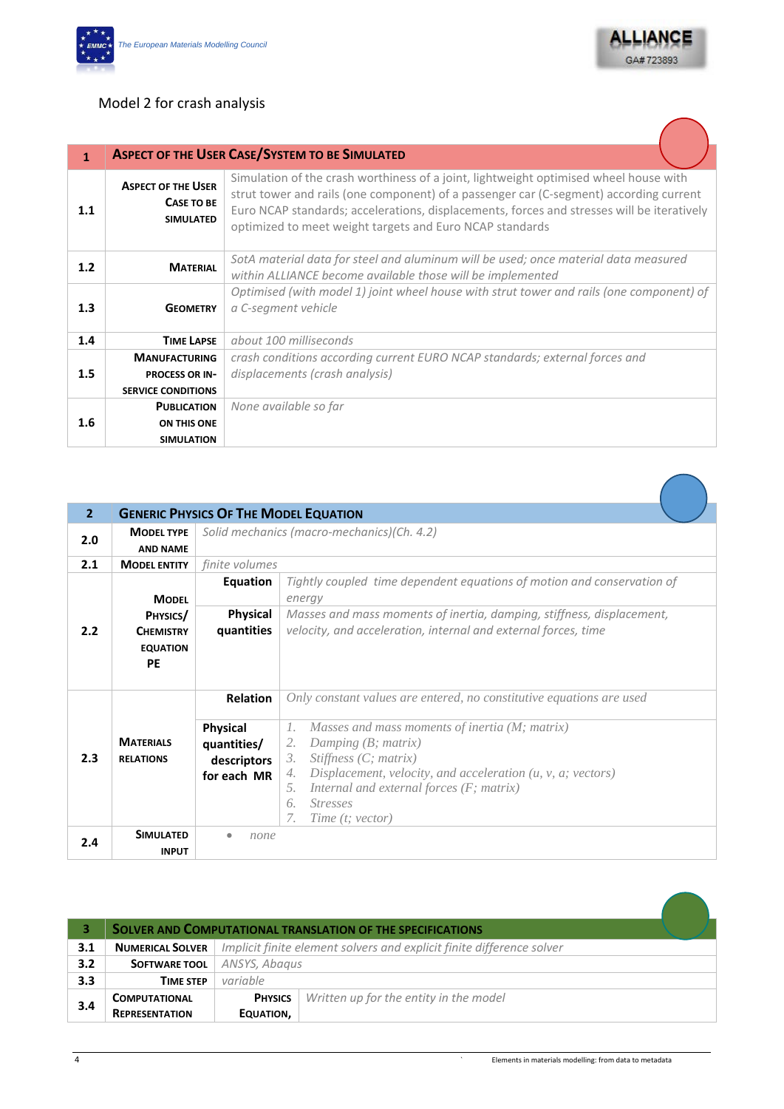



### Model 2 for crash analysis

| 1   |                                                             | <b>ASPECT OF THE USER CASE/SYSTEM TO BE SIMULATED</b>                                                                                                                                                                                                                                                                                     |
|-----|-------------------------------------------------------------|-------------------------------------------------------------------------------------------------------------------------------------------------------------------------------------------------------------------------------------------------------------------------------------------------------------------------------------------|
| 1.1 | <b>ASPECT OF THE USER</b><br>CASE TO BE<br><b>SIMULATED</b> | Simulation of the crash worthiness of a joint, lightweight optimised wheel house with<br>strut tower and rails (one component) of a passenger car (C-segment) according current<br>Euro NCAP standards; accelerations, displacements, forces and stresses will be iteratively<br>optimized to meet weight targets and Euro NCAP standards |
| 1.2 | <b>MATERIAL</b>                                             | SotA material data for steel and aluminum will be used; once material data measured<br>within ALLIANCE become available those will be implemented                                                                                                                                                                                         |
| 1.3 | <b>GEOMETRY</b>                                             | Optimised (with model 1) joint wheel house with strut tower and rails (one component) of<br>a C-segment vehicle                                                                                                                                                                                                                           |
| 1.4 | <b>TIME LAPSE</b>                                           | about 100 milliseconds                                                                                                                                                                                                                                                                                                                    |
|     | <b>MANUFACTURING</b>                                        | crash conditions according current EURO NCAP standards; external forces and                                                                                                                                                                                                                                                               |
| 1.5 | <b>PROCESS OR IN-</b>                                       | displacements (crash analysis)                                                                                                                                                                                                                                                                                                            |
|     | <b>SERVICE CONDITIONS</b>                                   |                                                                                                                                                                                                                                                                                                                                           |
|     | <b>PUBLICATION</b>                                          | None available so far                                                                                                                                                                                                                                                                                                                     |
| 1.6 | ON THIS ONE                                                 |                                                                                                                                                                                                                                                                                                                                           |
|     | <b>SIMULATION</b>                                           |                                                                                                                                                                                                                                                                                                                                           |

| $\overline{2}$ |                                                              |                                                       | <b>GENERIC PHYSICS OF THE MODEL EQUATION</b>                                                                                                                                                                                                                                                             |
|----------------|--------------------------------------------------------------|-------------------------------------------------------|----------------------------------------------------------------------------------------------------------------------------------------------------------------------------------------------------------------------------------------------------------------------------------------------------------|
| 2.0            | <b>MODEL TYPE</b><br><b>AND NAME</b>                         |                                                       | Solid mechanics (macro-mechanics)(Ch. 4.2)                                                                                                                                                                                                                                                               |
| 2.1            | <b>MODEL ENTITY</b>                                          | finite volumes                                        |                                                                                                                                                                                                                                                                                                          |
|                | <b>MODFL</b>                                                 | Equation                                              | Tightly coupled time dependent equations of motion and conservation of<br>energy                                                                                                                                                                                                                         |
| 2.2            | PHYSICS/<br><b>CHFMISTRY</b><br><b>EQUATION</b><br><b>PE</b> | <b>Physical</b><br>quantities                         | Masses and mass moments of inertia, damping, stiffness, displacement,<br>velocity, and acceleration, internal and external forces, time                                                                                                                                                                  |
|                |                                                              | <b>Relation</b>                                       | Only constant values are entered, no constitutive equations are used                                                                                                                                                                                                                                     |
| 2.3            | <b>MATFRIALS</b><br><b>RELATIONS</b>                         | Physical<br>quantities/<br>descriptors<br>for each MR | Masses and mass moments of inertia (M; matrix)<br>$\Gamma$ .<br>Damping (B; matrix)<br>2.<br>Stiffness $(C;$ matrix)<br>3.<br>Displacement, velocity, and acceleration $(u, v, a; vectors)$<br>4.<br>Internal and external forces $(F;$ matrix)<br>5.<br>6.<br><b>Stresses</b><br>7.<br>Time (t; vector) |
| 2.4            | <b>SIMULATED</b><br><b>INPUT</b>                             | none                                                  |                                                                                                                                                                                                                                                                                                          |

|     |                         |                | <b>SOLVER AND COMPUTATIONAL TRANSLATION OF THE SPECIFICATIONS</b>     |
|-----|-------------------------|----------------|-----------------------------------------------------------------------|
| 3.1 | <b>NUMERICAL SOLVER</b> |                | Implicit finite element solvers and explicit finite difference solver |
| 3.2 | <b>SOFTWARE TOOL</b>    | ANSYS, Abagus  |                                                                       |
| 3.3 | <b>TIME STEP</b>        | variable       |                                                                       |
| 3.4 | <b>COMPUTATIONAL</b>    | <b>PHYSICS</b> | Written up for the entity in the model                                |
|     | <b>REPRESENTATION</b>   | EQUATION,      |                                                                       |